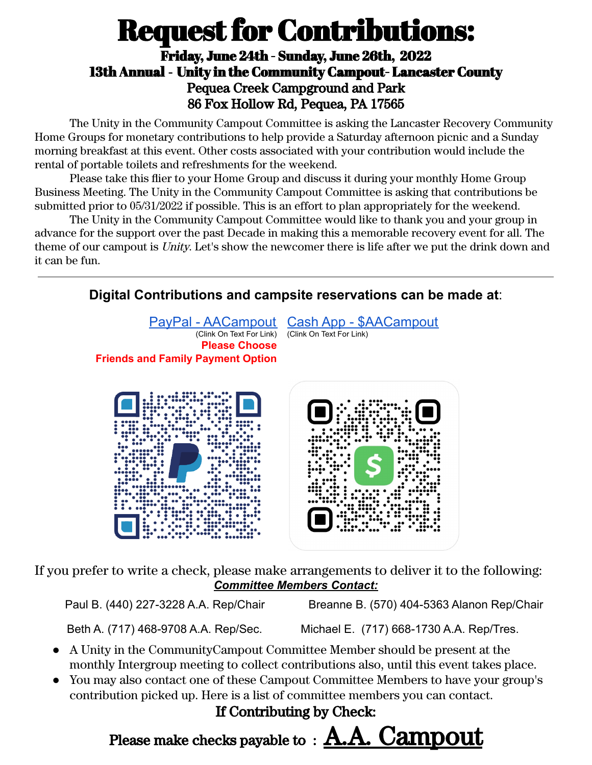## **Request for Contributions:**

## Friday, June 24th - Sunday, June 26th, 2022 13th Annual - Unity in the Community Campout- Lancaster County Pequea Creek Campground and Park 86 Fox Hollow Rd, Pequea, PA 17565

The Unity in the Community Campout Committee is asking the Lancaster Recovery Community Home Groups for monetary contributions to help provide a Saturday afternoon picnic and a Sunday morning breakfast at this event. Other costs associated with your contribution would include the rental of portable toilets and refreshments for the weekend.

Please take this flier to your Home Group and discuss it during your monthly Home Group Business Meeting. The Unity in the Community Campout Committee is asking that contributions be submitted prior to 05/31/2022 if possible. This is an effort to plan appropriately for the weekend.

The Unity in the Community Campout Committee would like to thank you and your group in advance for the support over the past Decade in making this a memorable recovery event for all. The theme of our campout is Unity. Let's show the newcomer there is life after we put the drink down and it can be fun.



If you prefer to write a check, please make arrangements to deliver it to the following: *Committee Members Contact:*

Beth A. (717) 468-9708 A.A. Rep/Sec. Michael E. (717) 668-1730 A.A. Rep/Tres.

- A Unity in the CommunityCampout Committee Member should be present at the monthly Intergroup meeting to collect contributions also, until this event takes place.
- You may also contact one of these Campout Committee Members to have your group's contribution picked up. Here is a list of committee members you can contact.

## If Contributing by Check:

Please make checks payable to : **A.A. Campout**